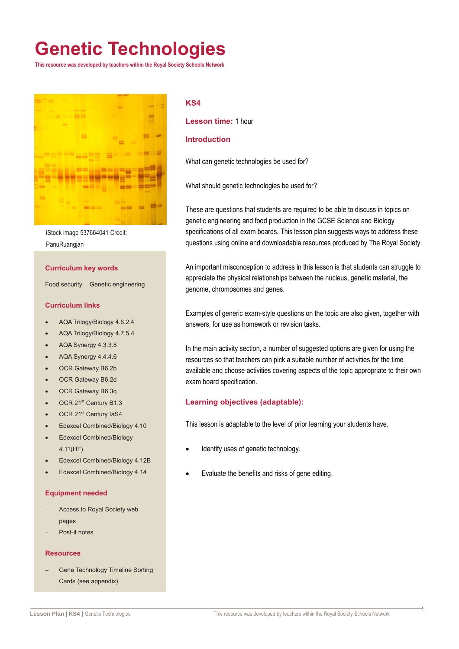## **Genetic Technologies**

**This resource was developed by teachers within the Royal Society Schools Network**



iStock image 537664041 Credit: PanuRuangjan

#### **Curriculum key words**

Food security Genetic engineering

#### **Curriculum links**

- AQA Trilogy/Biology 4.6.2.4
- AQA Trilogy/Biology 4.7.5.4
- AQA Synergy 4.3.3.8
- AQA Synergy 4.4.4.6
- OCR Gateway B6.2b
- OCR Gateway B6.2d
- OCR Gateway B6.3q
- OCR 21<sup>st</sup> Century B1.3
- OCR 21<sup>st</sup> Century IaS4
- Edexcel Combined/Biology 4.10
- Edexcel Combined/Biology 4.11(HT)
- Edexcel Combined/Biology 4.12B
- Edexcel Combined/Biology 4.14

#### **Equipment needed**

- Access to Royal Society web pages
- Post-it notes

#### **Resources**

 Gene Technology Timeline Sorting Cards (see appendix)

#### **KS4**

**Lesson time:** 1 hour

### **Introduction**

What can genetic technologies be used for?

What should genetic technologies be used for?

These are questions that students are required to be able to discuss in topics on genetic engineering and food production in the GCSE Science and Biology specifications of all exam boards. This lesson plan suggests ways to address these questions using online and downloadable resources produced by The Royal Society.

An important misconception to address in this lesson is that students can struggle to appreciate the physical relationships between the nucleus, genetic material, the genome, chromosomes and genes.

Examples of generic exam-style questions on the topic are also given, together with answers, for use as homework or revision tasks.

In the main activity section, a number of suggested options are given for using the resources so that teachers can pick a suitable number of activities for the time available and choose activities covering aspects of the topic appropriate to their own exam board specification.

### **Learning objectives (adaptable):**

This lesson is adaptable to the level of prior learning your students have.

- Identify uses of genetic technology.
- Evaluate the benefits and risks of gene editing.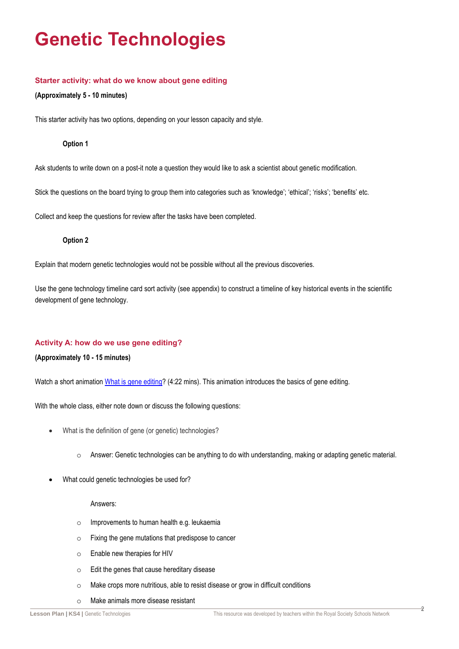## **Genetic Technologies**

### **Starter activity: what do we know about gene editing**

### **(Approximately 5 - 10 minutes)**

This starter activity has two options, depending on your lesson capacity and style.

### **Option 1**

Ask students to write down on a post-it note a question they would like to ask a scientist about genetic modification.

Stick the questions on the board trying to group them into categories such as 'knowledge'; 'ethical'; 'risks'; 'benefits' etc.

Collect and keep the questions for review after the tasks have been completed.

### **Option 2**

Explain that modern genetic technologies would not be possible without all the previous discoveries.

Use the gene technology timeline card sort activity (see appendix) to construct a timeline of key historical events in the scientific development of gene technology.

### **Activity A: how do we use gene editing?**

### **(Approximately 10 - 15 minutes)**

Watch a short animation [What is gene editing?](https://royalsociety.org/topics-policy/projects/genetic-technologies/what-are-genetic-technologies/) (4:22 mins). This animation introduces the basics of gene editing.

With the whole class, either note down or discuss the following questions:

- What is the definition of gene (or genetic) technologies?
	- o Answer: Genetic technologies can be anything to do with understanding, making or adapting genetic material.
- What could genetic technologies be used for?

### Answers:

- o Improvements to human health e.g. leukaemia
- o Fixing the gene mutations that predispose to cancer
- o Enable new therapies for HIV
- o Edit the genes that cause hereditary disease
- o Make crops more nutritious, able to resist disease or grow in difficult conditions
- o Make animals more disease resistant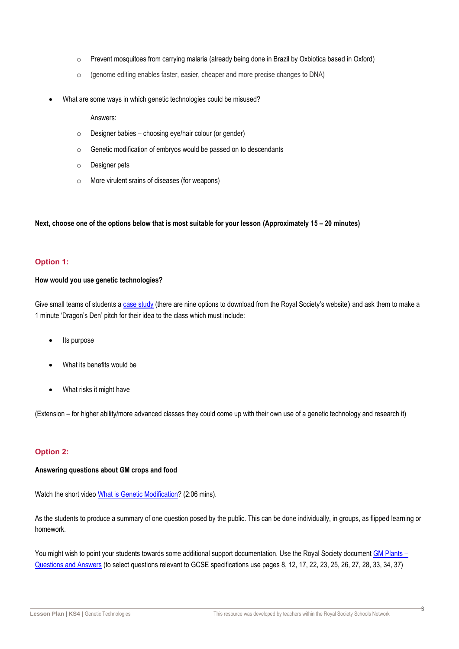- o Prevent mosquitoes from carrying malaria (already being done in Brazil by Oxbiotica based in Oxford)
- o (genome editing enables faster, easier, cheaper and more precise changes to DNA)
- What are some ways in which genetic technologies could be misused?

Answers:

- $\circ$  Designer babies choosing eye/hair colour (or gender)
- o Genetic modification of embryos would be passed on to descendants
- o Designer pets
- o More virulent srains of diseases (for weapons)

### **Next, choose one of the options below that is most suitable for your lesson (Approximately 15 – 20 minutes)**

### **Option 1:**

### **How would you use genetic technologies?**

Give small teams of students a [case study](https://royalsociety.org/topics-policy/projects/genetic-technologies/case-studies-and-videos/) (there are nine options to download from the Royal Society's website) and ask them to make a 1 minute 'Dragon's Den' pitch for their idea to the class which must include:

- Its purpose
- What its benefits would be
- What risks it might have

(Extension – for higher ability/more advanced classes they could come up with their own use of a genetic technology and research it)

### **Option 2:**

### **Answering questions about GM crops and food**

Watch the short video [What is Genetic Modification?](https://royalsociety.org/topics-policy/projects/gm-plants/) (2:06 mins).

As the students to produce a summary of one question posed by the public. This can be done individually, in groups, as flipped learning or homework.

You might wish to point your students towards some additional support documentation. Use the Royal Society document [GM Plants –](https://royalsociety.org/-/media/policy/projects/gm-plants/gm-plant-q-and-a.pdf) [Questions and Answers](https://royalsociety.org/-/media/policy/projects/gm-plants/gm-plant-q-and-a.pdf) (to select questions relevant to GCSE specifications use pages 8, 12, 17, 22, 23, 25, 26, 27, 28, 33, 34, 37)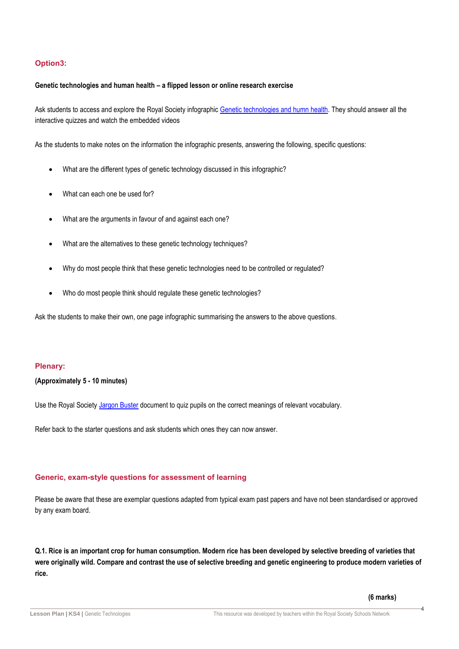### **Option3:**

#### **Genetic technologies and human health – a flipped lesson or online research exercise**

Ask students to access and explore the Royal Society infographic [Genetic technologies and humn health.](https://royalsociety.org/topics-policy/projects/genetic-technologies/infographic/) They should answer all the interactive quizzes and watch the embedded videos

As the students to make notes on the information the infographic presents, answering the following, specific questions:

- What are the different types of genetic technology discussed in this infographic?
- What can each one be used for?
- What are the arguments in favour of and against each one?
- What are the alternatives to these genetic technology techniques?
- Why do most people think that these genetic technologies need to be controlled or regulated?
- Who do most people think should regulate these genetic technologies?

Ask the students to make their own, one page infographic summarising the answers to the above questions.

### **Plenary:**

#### **(Approximately 5 - 10 minutes)**

Use the Royal Society [Jargon Buster](https://royalsociety.org/-/media/policy/projects/gene-tech/genetic-technologies-jargon-buster.pdf?la=en-GB&hash=72FEF9B88D206F195C494CD5CFF8C2A5) document to quiz pupils on the correct meanings of relevant vocabulary.

Refer back to the starter questions and ask students which ones they can now answer.

### **Generic, exam-style questions for assessment of learning**

Please be aware that these are exemplar questions adapted from typical exam past papers and have not been standardised or approved by any exam board.

**Q.1. Rice is an important crop for human consumption. Modern rice has been developed by selective breeding of varieties that were originally wild. Compare and contrast the use of selective breeding and genetic engineering to produce modern varieties of rice.**

**(6 marks)**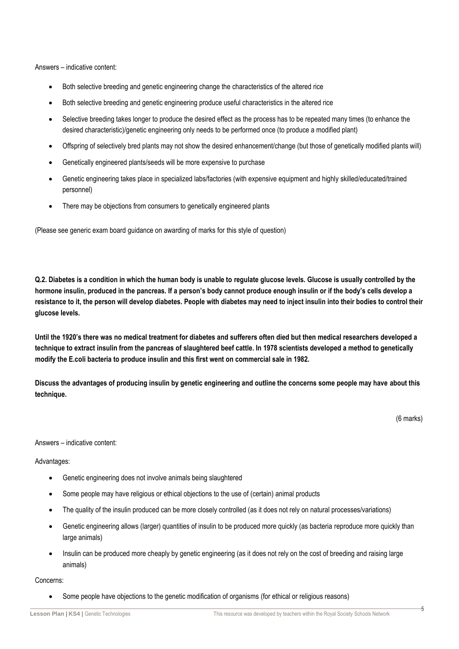Answers – indicative content:

- Both selective breeding and genetic engineering change the characteristics of the altered rice
- Both selective breeding and genetic engineering produce useful characteristics in the altered rice
- Selective breeding takes longer to produce the desired effect as the process has to be repeated many times (to enhance the desired characteristic)/genetic engineering only needs to be performed once (to produce a modified plant)
- Offspring of selectively bred plants may not show the desired enhancement/change (but those of genetically modified plants will)
- Genetically engineered plants/seeds will be more expensive to purchase
- Genetic engineering takes place in specialized labs/factories (with expensive equipment and highly skilled/educated/trained personnel)
- There may be objections from consumers to genetically engineered plants

(Please see generic exam board guidance on awarding of marks for this style of question)

**Q.2. Diabetes is a condition in which the human body is unable to regulate glucose levels. Glucose is usually controlled by the hormone insulin, produced in the pancreas. If a person's body cannot produce enough insulin or if the body's cells develop a resistance to it, the person will develop diabetes. People with diabetes may need to inject insulin into their bodies to control their glucose levels.**

**Until the 1920's there was no medical treatment for diabetes and sufferers often died but then medical researchers developed a technique to extract insulin from the pancreas of slaughtered beef cattle. In 1978 scientists developed a method to genetically modify the E.coli bacteria to produce insulin and this first went on commercial sale in 1982.** 

**Discuss the advantages of producing insulin by genetic engineering and outline the concerns some people may have about this technique.**

(6 marks)

Answers – indicative content:

Advantages:

- Genetic engineering does not involve animals being slaughtered
- Some people may have religious or ethical objections to the use of (certain) animal products
- The quality of the insulin produced can be more closely controlled (as it does not rely on natural processes/variations)
- Genetic engineering allows (larger) quantities of insulin to be produced more quickly (as bacteria reproduce more quickly than large animals)
- Insulin can be produced more cheaply by genetic engineering (as it does not rely on the cost of breeding and raising large animals)

Concerns:

Some people have objections to the genetic modification of organisms (for ethical or religious reasons)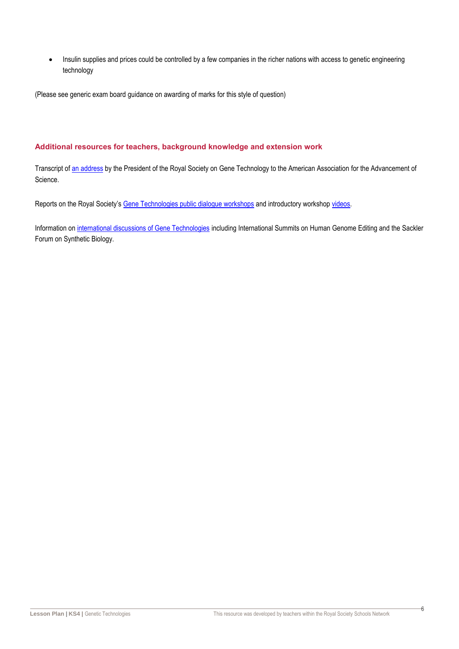Insulin supplies and prices could be controlled by a few companies in the richer nations with access to genetic engineering technology

(Please see generic exam board guidance on awarding of marks for this style of question)

### **Additional resources for teachers, background knowledge and extension work**

Transcript of [an address](https://royalsociety.org/news/2017/02/venki-ramakrishnan-aaas-genetic-technologies/) by the President of the Royal Society on Gene Technology to the American Association for the Advancement of Science.

Reports on the Royal Society's [Gene Technologies public dialogue workshops](https://royalsociety.org/topics-policy/publications/2018/genetic-technologies-public-dialogue/) and introductory workshop [videos.](https://www.youtube.com/watch?v=YSE38dv6cp4)

Information on [international discussions of Gene Technologies](https://royalsociety.org/topics-policy/projects/genetic-technologies/international-work/) including International Summits on Human Genome Editing and the Sackler Forum on Synthetic Biology.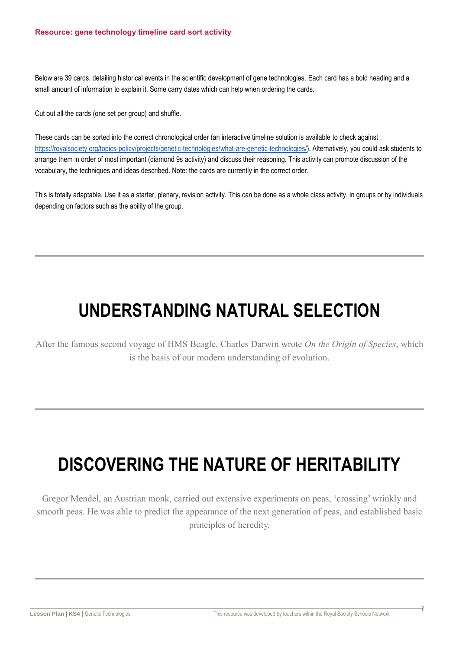Below are 39 cards, detailing historical events in the scientific development of gene technologies. Each card has a bold heading and a small amount of information to explain it. Some carry dates which can help when ordering the cards.

Cut out all the cards (one set per group) and shuffle.

These cards can be sorted into the correct chronological order (an interactive timeline solution is available to check against [https://royalsociety.org/topics-policy/projects/genetic-technologies/what-are-genetic-technologies/\)](https://royalsociety.org/topics-policy/projects/genetic-technologies/what-are-genetic-technologies/). Alternatively, you could ask students to arrange them in order of most important (diamond 9s activity) and discuss their reasoning. This activity can promote discussion of the vocabulary, the techniques and ideas described. Note: the cards are currently in the correct order.

This is totally adaptable. Use it as a starter, plenary, revision activity. This can be done as a whole class activity, in groups or by individuals depending on factors such as the ability of the group.

### **UNDERSTANDING NATURAL SELECTION**

After the famous second voyage of HMS Beagle, Charles Darwin wrote *On the Origin of Species*, which is the basis of our modern understanding of evolution.

## **DISCOVERING THE NATURE OF HERITABILITY**

Gregor Mendel, an Austrian monk, carried out extensive experiments on peas, 'crossing' wrinkly and smooth peas. He was able to predict the appearance of the next generation of peas, and established basic principles of heredity.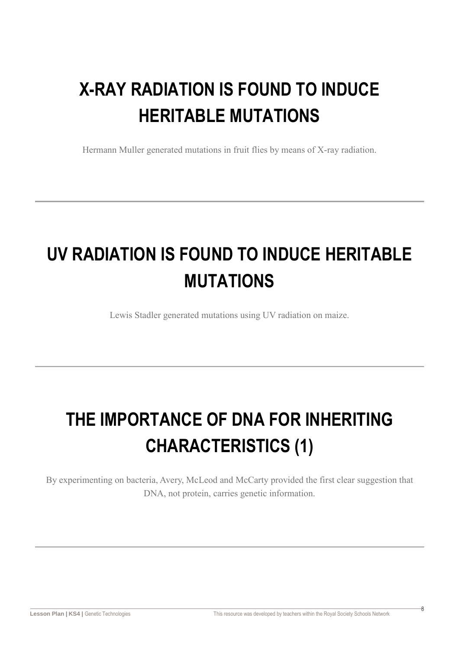# **X-RAY RADIATION IS FOUND TO INDUCE HERITABLE MUTATIONS**

Hermann Muller generated mutations in fruit flies by means of X-ray radiation.

# **UV RADIATION IS FOUND TO INDUCE HERITABLE MUTATIONS**

Lewis Stadler generated mutations using UV radiation on maize.

# **THE IMPORTANCE OF DNA FOR INHERITING CHARACTERISTICS (1)**

By experimenting on bacteria, Avery, McLeod and McCarty provided the first clear suggestion that DNA, not protein, carries genetic information.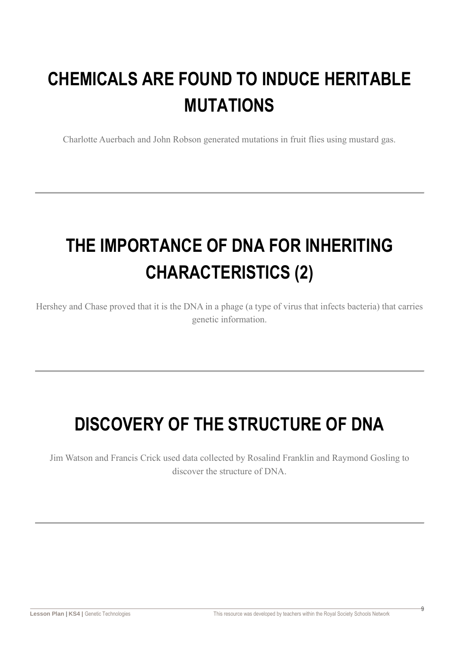# **CHEMICALS ARE FOUND TO INDUCE HERITABLE MUTATIONS**

Charlotte Auerbach and John Robson generated mutations in fruit flies using mustard gas.

# **THE IMPORTANCE OF DNA FOR INHERITING CHARACTERISTICS (2)**

Hershey and Chase proved that it is the DNA in a phage (a type of virus that infects bacteria) that carries genetic information.

## **DISCOVERY OF THE STRUCTURE OF DNA**

Jim Watson and Francis Crick used data collected by Rosalind Franklin and Raymond Gosling to discover the structure of DNA.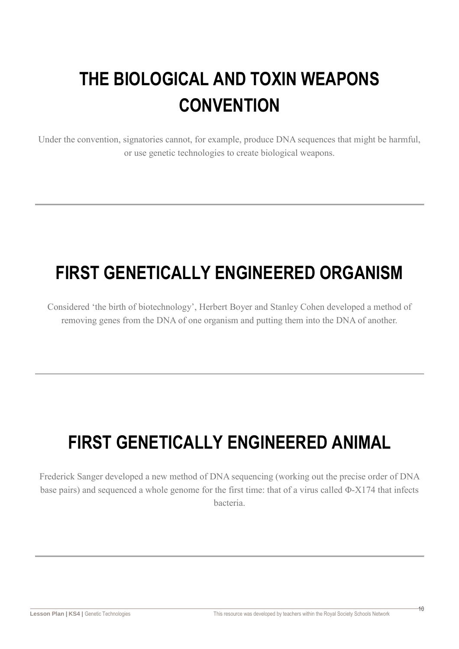# **THE BIOLOGICAL AND TOXIN WEAPONS CONVENTION**

Under the convention, signatories cannot, for example, produce DNA sequences that might be harmful, or use genetic technologies to create biological weapons.

## **FIRST GENETICALLY ENGINEERED ORGANISM**

Considered 'the birth of biotechnology', Herbert Boyer and Stanley Cohen developed a method of removing genes from the DNA of one organism and putting them into the DNA of another.

## **FIRST GENETICALLY ENGINEERED ANIMAL**

Frederick Sanger developed a new method of DNA sequencing (working out the precise order of DNA base pairs) and sequenced a whole genome for the first time: that of a virus called Φ-X174 that infects bacteria.

 $\overline{10}$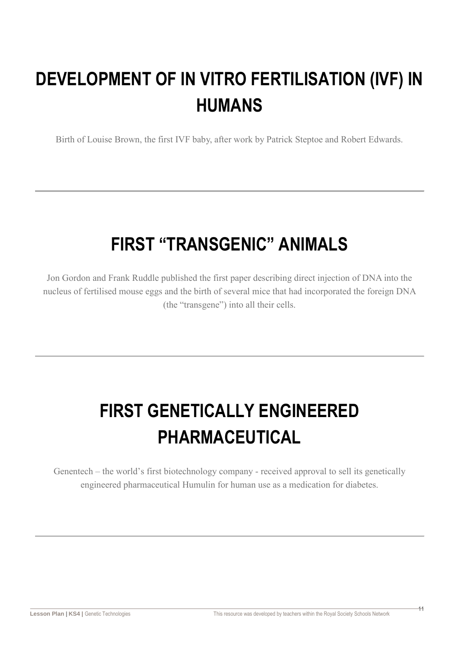# **DEVELOPMENT OF IN VITRO FERTILISATION (IVF) IN HUMANS**

Birth of Louise Brown, the first IVF baby, after work by Patrick Steptoe and Robert Edwards.

## **FIRST "TRANSGENIC" ANIMALS**

Jon Gordon and Frank Ruddle published the first paper describing direct injection of DNA into the nucleus of fertilised mouse eggs and the birth of several mice that had incorporated the foreign DNA (the "transgene") into all their cells.

# **FIRST GENETICALLY ENGINEERED PHARMACEUTICAL**

Genentech – the world's first biotechnology company - received approval to sell its genetically engineered pharmaceutical Humulin for human use as a medication for diabetes.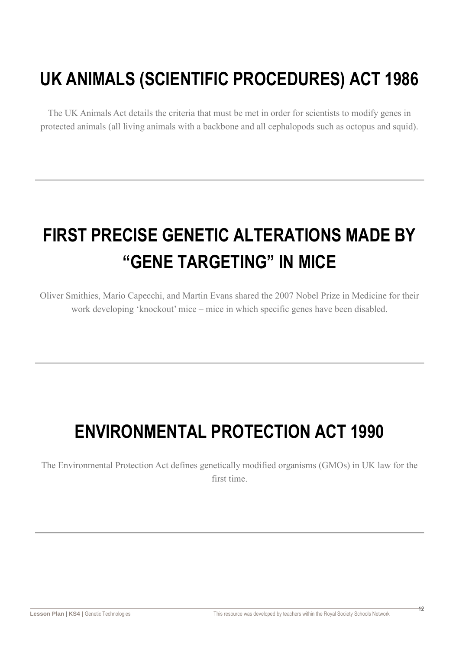## **UK ANIMALS (SCIENTIFIC PROCEDURES) ACT 1986**

The UK Animals Act details the criteria that must be met in order for scientists to modify genes in protected animals (all living animals with a backbone and all cephalopods such as octopus and squid).

# **FIRST PRECISE GENETIC ALTERATIONS MADE BY "GENE TARGETING" IN MICE**

Oliver Smithies, Mario Capecchi, and Martin Evans shared the 2007 Nobel Prize in Medicine for their work developing 'knockout' mice – mice in which specific genes have been disabled.

## **ENVIRONMENTAL PROTECTION ACT 1990**

The Environmental Protection Act defines genetically modified organisms (GMOs) in UK law for the first time.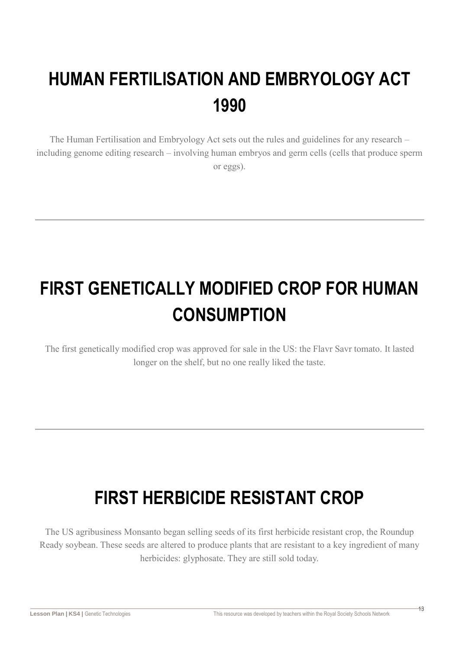# **HUMAN FERTILISATION AND EMBRYOLOGY ACT 1990**

The Human Fertilisation and Embryology Act sets out the rules and guidelines for any research – including genome editing research – involving human embryos and germ cells (cells that produce sperm or eggs).

# **FIRST GENETICALLY MODIFIED CROP FOR HUMAN CONSUMPTION**

The first genetically modified crop was approved for sale in the US: the Flavr Savr tomato. It lasted longer on the shelf, but no one really liked the taste.

## **FIRST HERBICIDE RESISTANT CROP**

The US agribusiness Monsanto began selling seeds of its first herbicide resistant crop, the Roundup Ready soybean. These seeds are altered to produce plants that are resistant to a key ingredient of many herbicides: glyphosate. They are still sold today.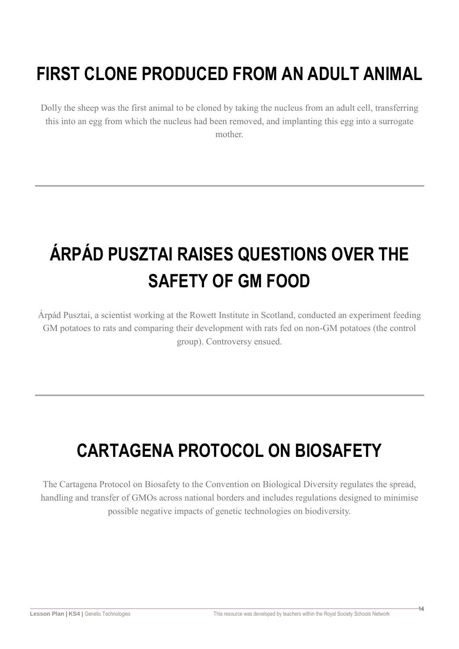## **FIRST CLONE PRODUCED FROM AN ADULT ANIMAL**

Dolly the sheep was the first animal to be cloned by taking the nucleus from an adult cell, transferring this into an egg from which the nucleus had been removed, and implanting this egg into a surrogate mother.

# **ÁRPÁD PUSZTAI RAISES QUESTIONS OVER THE SAFETY OF GM FOOD**

Árpád Pusztai, a scientist working at the Rowett Institute in Scotland, conducted an experiment feeding GM potatoes to rats and comparing their development with rats fed on non-GM potatoes (the control group). Controversy ensued.

# **CARTAGENA PROTOCOL ON BIOSAFETY**

The Cartagena Protocol on Biosafety to the Convention on Biological Diversity regulates the spread, handling and transfer of GMOs across national borders and includes regulations designed to minimise possible negative impacts of genetic technologies on biodiversity.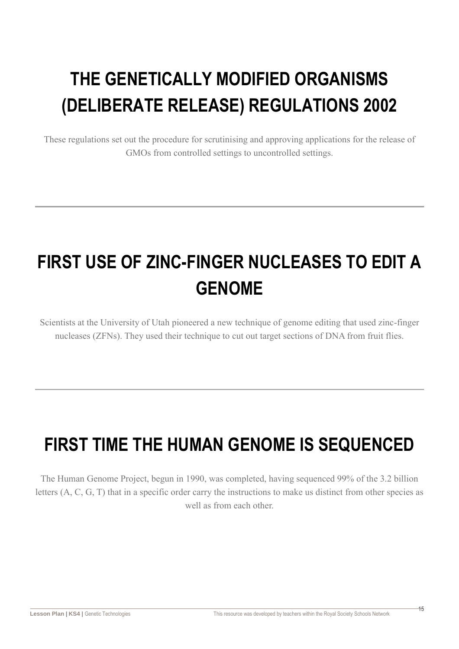# **THE GENETICALLY MODIFIED ORGANISMS (DELIBERATE RELEASE) REGULATIONS 2002**

These regulations set out the procedure for scrutinising and approving applications for the release of GMOs from controlled settings to uncontrolled settings.

# **FIRST USE OF ZINC-FINGER NUCLEASES TO EDIT A GENOME**

Scientists at the University of Utah pioneered a new technique of genome editing that used zinc-finger nucleases (ZFNs). They used their technique to cut out target sections of DNA from fruit flies.

## **FIRST TIME THE HUMAN GENOME IS SEQUENCED**

The Human Genome Project, begun in 1990, was completed, having sequenced 99% of the 3.2 billion letters (A, C, G, T) that in a specific order carry the instructions to make us distinct from other species as well as from each other.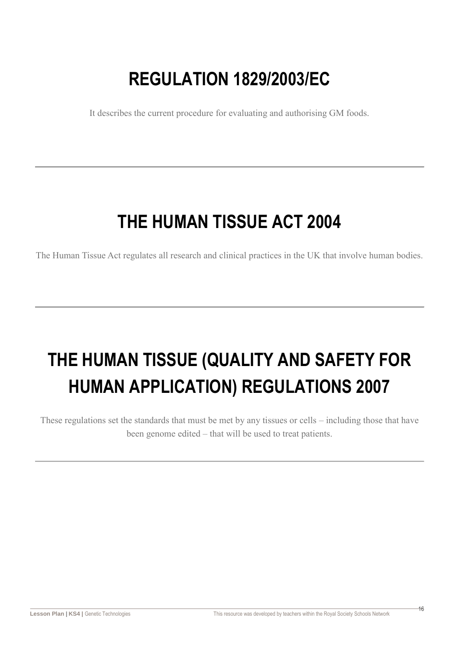## **REGULATION 1829/2003/EC**

It describes the current procedure for evaluating and authorising GM foods.

## **THE HUMAN TISSUE ACT 2004**

The Human Tissue Act regulates all research and clinical practices in the UK that involve human bodies.

# **THE HUMAN TISSUE (QUALITY AND SAFETY FOR HUMAN APPLICATION) REGULATIONS 2007**

These regulations set the standards that must be met by any tissues or cells – including those that have been genome edited – that will be used to treat patients.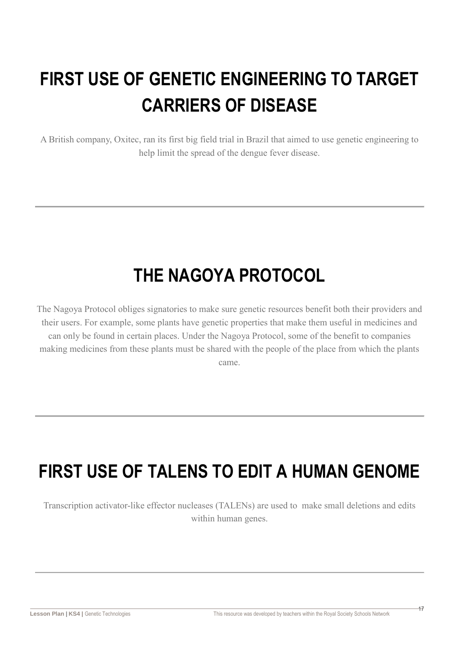# **FIRST USE OF GENETIC ENGINEERING TO TARGET CARRIERS OF DISEASE**

A British company, Oxitec, ran its first big field trial in Brazil that aimed to use genetic engineering to help limit the spread of the dengue fever disease.

### **THE NAGOYA PROTOCOL**

The Nagoya Protocol obliges signatories to make sure genetic resources benefit both their providers and their users. For example, some plants have genetic properties that make them useful in medicines and can only be found in certain places. Under the Nagoya Protocol, some of the benefit to companies making medicines from these plants must be shared with the people of the place from which the plants came.

## **FIRST USE OF TALENS TO EDIT A HUMAN GENOME**

Transcription activator-like effector nucleases (TALENs) are used to make small deletions and edits within human genes.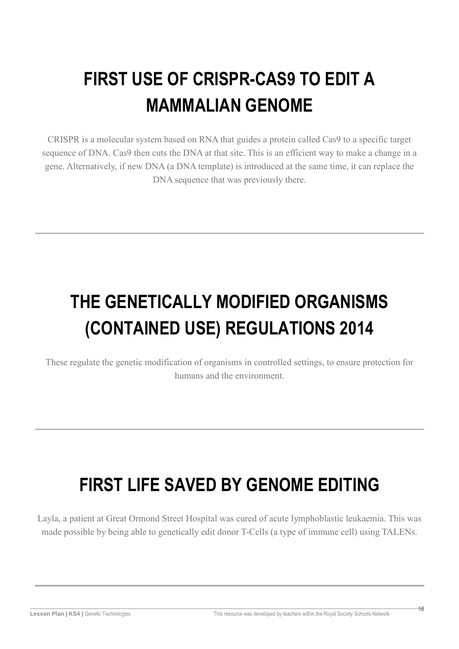# **FIRST USE OF CRISPR-CAS9 TO EDIT A MAMMALIAN GENOME**

CRISPR is a molecular system based on RNA that guides a protein called Cas9 to a specific target sequence of DNA. Cas9 then cuts the DNA at that site. This is an efficient way to make a change in a gene. Alternatively, if new DNA (a DNA template) is introduced at the same time, it can replace the DNA sequence that was previously there.

# **THE GENETICALLY MODIFIED ORGANISMS (CONTAINED USE) REGULATIONS 2014**

These regulate the genetic modification of organisms in controlled settings, to ensure protection for humans and the environment.

## **FIRST LIFE SAVED BY GENOME EDITING**

Layla, a patient at Great Ormond Street Hospital was cured of acute lymphoblastic leukaemia. This was made possible by being able to genetically edit donor T-Cells (a type of immune cell) using TALENs.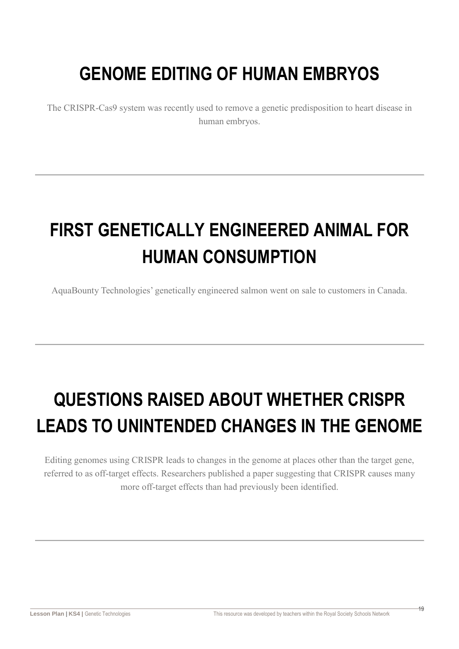## **GENOME EDITING OF HUMAN EMBRYOS**

The CRISPR-Cas9 system was recently used to remove a genetic predisposition to heart disease in human embryos.

# **FIRST GENETICALLY ENGINEERED ANIMAL FOR HUMAN CONSUMPTION**

AquaBounty Technologies' genetically engineered salmon went on sale to customers in Canada.

# **QUESTIONS RAISED ABOUT WHETHER CRISPR LEADS TO UNINTENDED CHANGES IN THE GENOME**

Editing genomes using CRISPR leads to changes in the genome at places other than the target gene, referred to as off-target effects. Researchers published a paper suggesting that CRISPR causes many more off-target effects than had previously been identified.